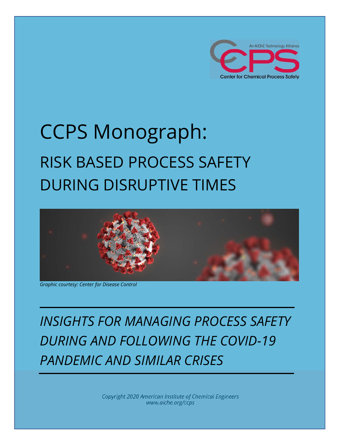

# CCPS Monograph: RISK BASED PROCESS SAFETY DURING DISRUPTIVE TIMES



*Graphic courtesy: Center for Disease Control* 

*INSIGHTS FOR MANAGING PROCESS SAFETY DURING AND FOLLOWING THE COVID-19 PANDEMIC AND SIMILAR CRISES* 

> *Copyright 2020 American Institute of Chemical Engineers www.aiche.org/ccps*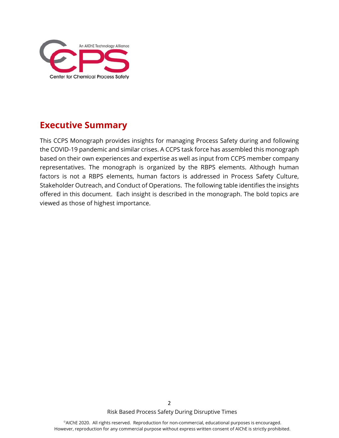

## **Executive Summary**

This CCPS Monograph provides insights for managing Process Safety during and following the COVID-19 pandemic and similar crises. A CCPS task force has assembled this monograph based on their own experiences and expertise as well as input from CCPS member company representatives. The monograph is organized by the RBPS elements. Although human factors is not a RBPS elements, human factors is addressed in Process Safety Culture, Stakeholder Outreach, and Conduct of Operations. The following table identifies the insights offered in this document. Each insight is described in the monograph. The bold topics are viewed as those of highest importance.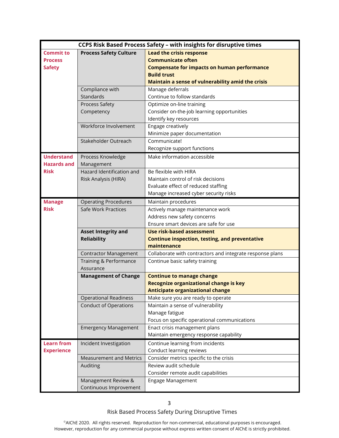| CCPS Risk Based Process Safety - with insights for disruptive times |                                |                                                                                   |
|---------------------------------------------------------------------|--------------------------------|-----------------------------------------------------------------------------------|
| <b>Commit to</b>                                                    | <b>Process Safety Culture</b>  | <b>Lead the crisis response</b>                                                   |
| <b>Process</b>                                                      |                                | <b>Communicate often</b>                                                          |
| <b>Safety</b>                                                       |                                | <b>Compensate for impacts on human performance</b>                                |
|                                                                     |                                | <b>Build trust</b>                                                                |
|                                                                     |                                | Maintain a sense of vulnerability amid the crisis                                 |
|                                                                     | Compliance with                | Manage deferrals                                                                  |
|                                                                     | Standards                      | Continue to follow standards                                                      |
|                                                                     | Process Safety                 | Optimize on-line training                                                         |
|                                                                     | Competency                     | Consider on-the-job learning opportunities                                        |
|                                                                     |                                | Identify key resources                                                            |
|                                                                     | Workforce Involvement          | Engage creatively                                                                 |
|                                                                     |                                | Minimize paper documentation                                                      |
|                                                                     | Stakeholder Outreach           | Communicate!                                                                      |
|                                                                     |                                | Recognize support functions                                                       |
| <b>Understand</b>                                                   | Process Knowledge              | Make information accessible                                                       |
| <b>Hazards and</b>                                                  | Management                     |                                                                                   |
| <b>Risk</b>                                                         | Hazard Identification and      | Be flexible with HIRA                                                             |
|                                                                     | Risk Analysis (HIRA)           | Maintain control of risk decisions                                                |
|                                                                     |                                | Evaluate effect of reduced staffing                                               |
|                                                                     |                                | Manage increased cyber security risks                                             |
| <b>Manage</b>                                                       | <b>Operating Procedures</b>    | Maintain procedures                                                               |
| <b>Risk</b>                                                         | Safe Work Practices            | Actively manage maintenance work                                                  |
|                                                                     |                                | Address new safety concerns                                                       |
|                                                                     |                                | Ensure smart devices are safe for use                                             |
|                                                                     | <b>Asset Integrity and</b>     | <b>Use risk-based assessment</b>                                                  |
|                                                                     | <b>Reliability</b>             | <b>Continue inspection, testing, and preventative</b>                             |
|                                                                     |                                | maintenance                                                                       |
|                                                                     | <b>Contractor Management</b>   | Collaborate with contractors and integrate response plans                         |
|                                                                     | Training & Performance         | Continue basic safety training                                                    |
|                                                                     | Assurance                      |                                                                                   |
|                                                                     | <b>Management of Change</b>    | <b>Continue to manage change</b>                                                  |
|                                                                     |                                | Recognize organizational change is key<br><b>Anticipate organizational change</b> |
|                                                                     | <b>Operational Readiness</b>   | Make sure you are ready to operate                                                |
|                                                                     | <b>Conduct of Operations</b>   | Maintain a sense of vulnerability                                                 |
|                                                                     |                                | Manage fatigue                                                                    |
|                                                                     |                                | Focus on specific operational communications                                      |
|                                                                     | <b>Emergency Management</b>    | Enact crisis management plans                                                     |
|                                                                     |                                | Maintain emergency response capability                                            |
| <b>Learn from</b>                                                   | Incident Investigation         | Continue learning from incidents                                                  |
| <b>Experience</b>                                                   |                                | Conduct learning reviews                                                          |
|                                                                     | <b>Measurement and Metrics</b> | Consider metrics specific to the crisis                                           |
|                                                                     | Auditing                       | Review audit schedule                                                             |
|                                                                     |                                | Consider remote audit capabilities                                                |
|                                                                     | Management Review &            | Engage Management                                                                 |
|                                                                     | Continuous Improvement         |                                                                                   |
|                                                                     |                                |                                                                                   |

3

Risk Based Process Safety During Disruptive Times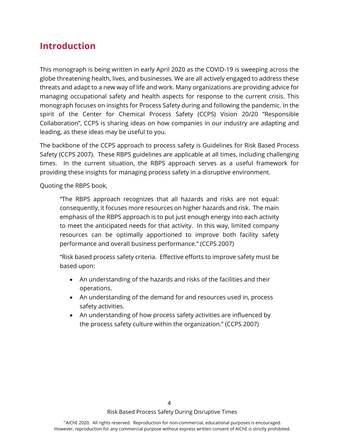### **Introduction**

This monograph is being written in early April 2020 as the COVID-19 is sweeping across the globe threatening health, lives, and businesses. We are all actively engaged to address these threats and adapt to a new way of life and work. Many organizations are providing advice for managing occupational safety and health aspects for response to the current crisis. This monograph focuses on insights for Process Safety during and following the pandemic. In the spirit of the Center for Chemical Process Safety (CCPS) Vision 20/20 "Responsible Collaboration", CCPS is sharing ideas on how companies in our industry are adapting and leading, as these ideas may be useful to you.

The backbone of the CCPS approach to process safety is Guidelines for Risk Based Process Safety (CCPS 2007). These RBPS guidelines are applicable at all times, including challenging times. In the current situation, the RBPS approach serves as a useful framework for providing these insights for managing process safety in a disruptive environment.

Quoting the RBPS book,

"The RBPS approach recognizes that all hazards and risks are not equal: consequently, it focuses more resources on higher hazards and risk. The main emphasis of the RBPS approach is to put just enough energy into each activity to meet the anticipated needs for that activity. In this way, limited company resources can be optimally apportioned to improve both facility safety performance and overall business performance." (CCPS 2007)

"Risk based process safety criteria. Effective efforts to improve safety must be based upon:

- An understanding of the hazards and risks of the facilities and their operations.
- An understanding of the demand for and resources used in, process safety activities.
- An understanding of how process safety activities are influenced by the process safety culture within the organization." (CCPS 2007)

Risk Based Process Safety During Disruptive Times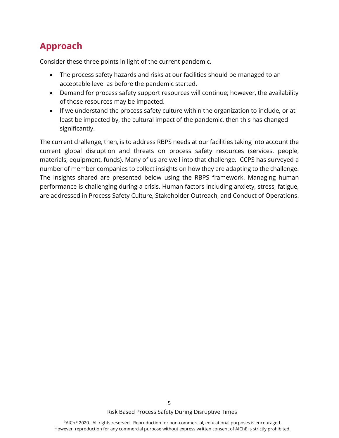## **Approach**

Consider these three points in light of the current pandemic.

- The process safety hazards and risks at our facilities should be managed to an acceptable level as before the pandemic started.
- Demand for process safety support resources will continue; however, the availability of those resources may be impacted.
- If we understand the process safety culture within the organization to include, or at least be impacted by, the cultural impact of the pandemic, then this has changed significantly.

The current challenge, then, is to address RBPS needs at our facilities taking into account the current global disruption and threats on process safety resources (services, people, materials, equipment, funds). Many of us are well into that challenge. CCPS has surveyed a number of member companies to collect insights on how they are adapting to the challenge. The insights shared are presented below using the RBPS framework. Managing human performance is challenging during a crisis. Human factors including anxiety, stress, fatigue, are addressed in Process Safety Culture, Stakeholder Outreach, and Conduct of Operations.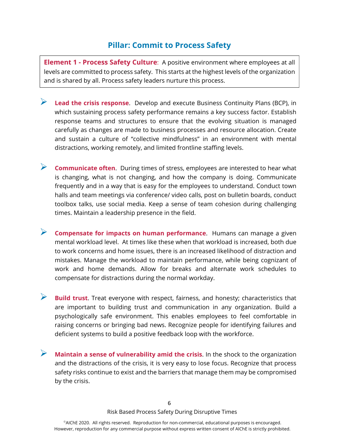#### **Pillar: Commit to Process Safety**

**Element 1 - Process Safety Culture**: A positive environment where employees at all levels are committed to process safety. This starts at the highest levels of the organization and is shared by all. Process safety leaders nurture this process.

- **Lead the crisis response**. Develop and execute Business Continuity Plans (BCP), in which sustaining process safety performance remains a key success factor. Establish response teams and structures to ensure that the evolving situation is managed carefully as changes are made to business processes and resource allocation. Create and sustain a culture of "collective mindfulness" in an environment with mental distractions, working remotely, and limited frontline staffing levels.
- **Communicate often**. During times of stress, employees are interested to hear what is changing, what is not changing, and how the company is doing. Communicate frequently and in a way that is easy for the employees to understand. Conduct town halls and team meetings via conference/ video calls, post on bulletin boards, conduct toolbox talks, use social media. Keep a sense of team cohesion during challenging times. Maintain a leadership presence in the field.
- **Compensate for impacts on human performance**. Humans can manage a given mental workload level. At times like these when that workload is increased, both due to work concerns and home issues, there is an increased likelihood of distraction and mistakes. Manage the workload to maintain performance, while being cognizant of work and home demands. Allow for breaks and alternate work schedules to compensate for distractions during the normal workday.
- **Build trust**. Treat everyone with respect, fairness, and honesty; characteristics that are important to building trust and communication in any organization. Build a psychologically safe environment. This enables employees to feel comfortable in raising concerns or bringing bad news. Recognize people for identifying failures and deficient systems to build a positive feedback loop with the workforce.
- **Maintain a sense of vulnerability amid the crisis**. In the shock to the organization and the distractions of the crisis, it is very easy to lose focus. Recognize that process safety risks continue to exist and the barriers that manage them may be compromised by the crisis.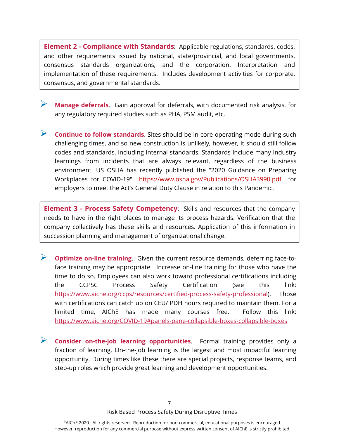**Element 2 - Compliance with Standards**: Applicable regulations, standards, codes, and other requirements issued by national, state/provincial, and local governments, consensus standards organizations, and the corporation. Interpretation and implementation of these requirements. Includes development activities for corporate, consensus, and governmental standards.

- **Manage deferrals**. Gain approval for deferrals, with documented risk analysis, for any regulatory required studies such as PHA, PSM audit, etc.
- **Continue to follow standards**. Sites should be in core operating mode during such challenging times, and so new construction is unlikely, however, it should still follow codes and standards, including internal standards. Standards include many industry learnings from incidents that are always relevant, regardless of the business environment. US OSHA has recently published the "2020 Guidance on Preparing Workplaces for COVID-19" https://www.osha.gov/Publications/OSHA3990.pdf for employers to meet the Act's General Duty Clause in relation to this Pandemic.

**Element 3 - Process Safety Competency**: Skills and resources that the company needs to have in the right places to manage its process hazards. Verification that the company collectively has these skills and resources. Application of this information in succession planning and management of organizational change.

- **Optimize on-line training**. Given the current resource demands, deferring face-toface training may be appropriate. Increase on-line training for those who have the time to do so. Employees can also work toward professional certifications including the CCPSC Process Safety Certification (see this link: https://www.aiche.org/ccps/resources/certified-process-safety-professional). Those with certifications can catch up on CEU/ PDH hours required to maintain them. For a limited time, AIChE has made many courses free. Follow this link: https://www.aiche.org/COVID-19#panels-pane-collapsible-boxes-collapsible-boxes
- **Consider on-the-job learning opportunities**. Formal training provides only a fraction of learning. On-the-job learning is the largest and most impactful learning opportunity. During times like these there are special projects, response teams, and step-up roles which provide great learning and development opportunities.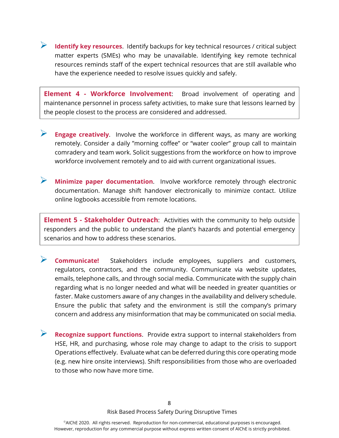**Identify key resources**. Identify backups for key technical resources / critical subject matter experts (SMEs) who may be unavailable. Identifying key remote technical resources reminds staff of the expert technical resources that are still available who have the experience needed to resolve issues quickly and safely.

**Element 4 - Workforce Involvement**: Broad involvement of operating and maintenance personnel in process safety activities, to make sure that lessons learned by the people closest to the process are considered and addressed.

- **Engage creatively**. Involve the workforce in different ways, as many are working remotely. Consider a daily "morning coffee" or "water cooler" group call to maintain comradery and team work. Solicit suggestions from the workforce on how to improve workforce involvement remotely and to aid with current organizational issues.
- **Minimize paper documentation**. Involve workforce remotely through electronic documentation. Manage shift handover electronically to minimize contact. Utilize online logbooks accessible from remote locations.

**Element 5 - Stakeholder Outreach**: Activities with the community to help outside responders and the public to understand the plant's hazards and potential emergency scenarios and how to address these scenarios.

 **Communicate!** Stakeholders include employees, suppliers and customers, regulators, contractors, and the community. Communicate via website updates, emails, telephone calls, and through social media. Communicate with the supply chain regarding what is no longer needed and what will be needed in greater quantities or faster. Make customers aware of any changes in the availability and delivery schedule. Ensure the public that safety and the environment is still the company's primary concern and address any misinformation that may be communicated on social media.

**Recognize support functions**. Provide extra support to internal stakeholders from HSE, HR, and purchasing, whose role may change to adapt to the crisis to support Operations effectively. Evaluate what can be deferred during this core operating mode (e.g. new hire onsite interviews). Shift responsibilities from those who are overloaded to those who now have more time.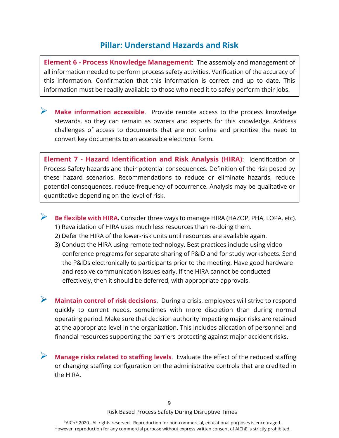#### **Pillar: Understand Hazards and Risk**

**Element 6 - Process Knowledge Management**: The assembly and management of all information needed to perform process safety activities. Verification of the accuracy of this information. Confirmation that this information is correct and up to date. This information must be readily available to those who need it to safely perform their jobs.

**Make information accessible.** Provide remote access to the process knowledge stewards, so they can remain as owners and experts for this knowledge. Address challenges of access to documents that are not online and prioritize the need to convert key documents to an accessible electronic form.

**Element 7 - Hazard Identification and Risk Analysis (HIRA)**:Identification of Process Safety hazards and their potential consequences. Definition of the risk posed by these hazard scenarios. Recommendations to reduce or eliminate hazards, reduce potential consequences, reduce frequency of occurrence. Analysis may be qualitative or quantitative depending on the level of risk.

**Be flexible with HIRA.** Consider three ways to manage HIRA (HAZOP, PHA, LOPA, etc). 1) Revalidation of HIRA uses much less resources than re-doing them.

- 2) Defer the HIRA of the lower-risk units until resources are available again.
- 3) Conduct the HIRA using remote technology. Best practices include using video conference programs for separate sharing of P&ID and for study worksheets. Send the P&IDs electronically to participants prior to the meeting. Have good hardware and resolve communication issues early. If the HIRA cannot be conducted effectively, then it should be deferred, with appropriate approvals.

**Maintain control of risk decisions**. During a crisis, employees will strive to respond quickly to current needs, sometimes with more discretion than during normal operating period. Make sure that decision authority impacting major risks are retained at the appropriate level in the organization. This includes allocation of personnel and financial resources supporting the barriers protecting against major accident risks.

 **Manage risks related to staffing levels**. Evaluate the effect of the reduced staffing or changing staffing configuration on the administrative controls that are credited in the HIRA.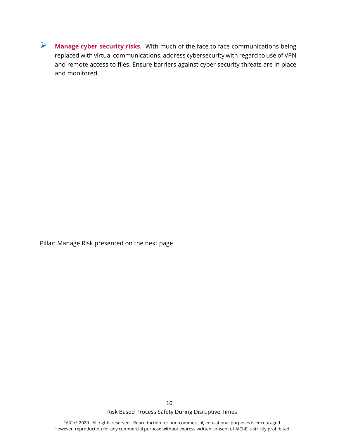**Manage cyber security risks**. With much of the face to face communications being replaced with virtual communications, address cybersecurity with regard to use of VPN and remote access to files. Ensure barriers against cyber security threats are in place and monitored.

Pillar: Manage Risk presented on the next page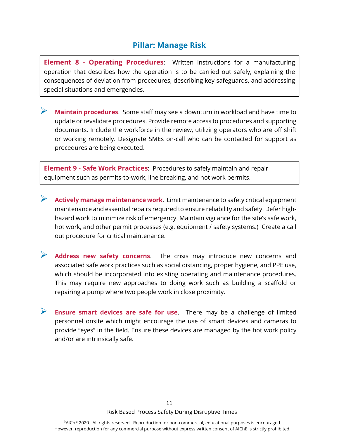#### **Pillar: Manage Risk**

**Element 8 - Operating Procedures**: Written instructions for a manufacturing operation that describes how the operation is to be carried out safely, explaining the consequences of deviation from procedures, describing key safeguards, and addressing special situations and emergencies.

 **Maintain procedures**. Some staff may see a downturn in workload and have time to update or revalidate procedures. Provide remote access to procedures and supporting documents. Include the workforce in the review, utilizing operators who are off shift or working remotely. Designate SMEs on-call who can be contacted for support as procedures are being executed.

**Element 9 - Safe Work Practices**: Procedures to safely maintain and repair equipment such as permits-to-work, line breaking, and hot work permits.

- **Actively manage maintenance work**. Limit maintenance to safety critical equipment maintenance and essential repairs required to ensure reliability and safety. Defer highhazard work to minimize risk of emergency. Maintain vigilance for the site's safe work, hot work, and other permit processes (e.g. equipment / safety systems.) Create a call out procedure for critical maintenance.
- **Address new safety concerns**. The crisis may introduce new concerns and associated safe work practices such as social distancing, proper hygiene, and PPE use, which should be incorporated into existing operating and maintenance procedures. This may require new approaches to doing work such as building a scaffold or repairing a pump where two people work in close proximity.

 **Ensure smart devices are safe for use**. There may be a challenge of limited personnel onsite which might encourage the use of smart devices and cameras to provide "eyes" in the field. Ensure these devices are managed by the hot work policy and/or are intrinsically safe.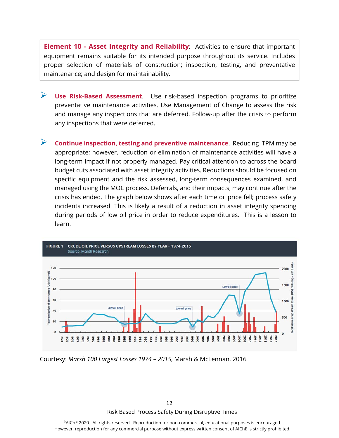**Element 10 - Asset Integrity and Reliability**: Activities to ensure that important equipment remains suitable for its intended purpose throughout its service. Includes proper selection of materials of construction; inspection, testing, and preventative maintenance; and design for maintainability.

- **Use Risk-Based Assessment**. Use risk-based inspection programs to prioritize preventative maintenance activities. Use Management of Change to assess the risk and manage any inspections that are deferred. Follow-up after the crisis to perform any inspections that were deferred.
- **Continue inspection, testing and preventive maintenance**. Reducing ITPM may be appropriate; however, reduction or elimination of maintenance activities will have a long-term impact if not properly managed. Pay critical attention to across the board budget cuts associated with asset integrity activities. Reductions should be focused on specific equipment and the risk assessed, long-term consequences examined, and managed using the MOC process. Deferrals, and their impacts, may continue after the crisis has ended. The graph below shows after each time oil price fell; process safety incidents increased. This is likely a result of a reduction in asset integrity spending during periods of low oil price in order to reduce expenditures. This is a lesson to learn.



Courtesy: *Marsh 100 Largest Losses 1974 – 2015*, Marsh & McLennan, 2016

Risk Based Process Safety During Disruptive Times 12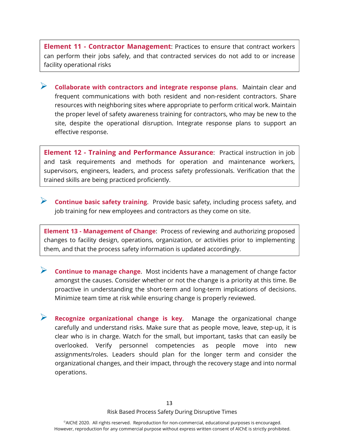**Element 11 - Contractor Management**: Practices to ensure that contract workers can perform their jobs safely, and that contracted services do not add to or increase facility operational risks

 **Collaborate with contractors and integrate response plans**. Maintain clear and frequent communications with both resident and non-resident contractors. Share resources with neighboring sites where appropriate to perform critical work. Maintain the proper level of safety awareness training for contractors, who may be new to the site, despite the operational disruption. Integrate response plans to support an effective response.

**Element 12 - Training and Performance Assurance**: Practical instruction in job and task requirements and methods for operation and maintenance workers, supervisors, engineers, leaders, and process safety professionals. Verification that the trained skills are being practiced proficiently.

**Continue basic safety training**. Provide basic safety, including process safety, and job training for new employees and contractors as they come on site.

**Element 13 - Management of Change**: Process of reviewing and authorizing proposed changes to facility design, operations, organization, or activities prior to implementing them, and that the process safety information is updated accordingly.

- **Continue to manage change**. Most incidents have a management of change factor amongst the causes. Consider whether or not the change is a priority at this time. Be proactive in understanding the short-term and long-term implications of decisions. Minimize team time at risk while ensuring change is properly reviewed.
- **Recognize organizational change is key**. Manage the organizational change carefully and understand risks. Make sure that as people move, leave, step-up, it is clear who is in charge. Watch for the small, but important, tasks that can easily be overlooked. Verify personnel competencies as people move into new assignments/roles. Leaders should plan for the longer term and consider the organizational changes, and their impact, through the recovery stage and into normal operations.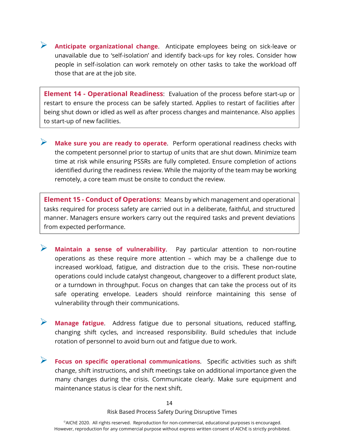**Anticipate organizational change**. Anticipate employees being on sick-leave or unavailable due to 'self-isolation' and identify back-ups for key roles. Consider how people in self-isolation can work remotely on other tasks to take the workload off those that are at the job site.

**Element 14 - Operational Readiness**: Evaluation of the process before start-up or restart to ensure the process can be safely started. Applies to restart of facilities after being shut down or idled as well as after process changes and maintenance. Also applies to start-up of new facilities.

 **Make sure you are ready to operate**. Perform operational readiness checks with the competent personnel prior to startup of units that are shut down. Minimize team time at risk while ensuring PSSRs are fully completed. Ensure completion of actions identified during the readiness review. While the majority of the team may be working remotely, a core team must be onsite to conduct the review.

**Element 15 - Conduct of Operations**: Means by which management and operational tasks required for process safety are carried out in a deliberate, faithful, and structured manner. Managers ensure workers carry out the required tasks and prevent deviations from expected performance.

- **Maintain a sense of vulnerability**. Pay particular attention to non-routine operations as these require more attention – which may be a challenge due to increased workload, fatigue, and distraction due to the crisis. These non-routine operations could include catalyst changeout, changeover to a different product slate, or a turndown in throughput. Focus on changes that can take the process out of its safe operating envelope. Leaders should reinforce maintaining this sense of vulnerability through their communications.
- **Manage fatigue**. Address fatigue due to personal situations, reduced staffing, changing shift cycles, and increased responsibility. Build schedules that include rotation of personnel to avoid burn out and fatigue due to work.
- **Focus on specific operational communications**. Specific activities such as shift change, shift instructions, and shift meetings take on additional importance given the many changes during the crisis. Communicate clearly. Make sure equipment and maintenance status is clear for the next shift.

Risk Based Process Safety During Disruptive Times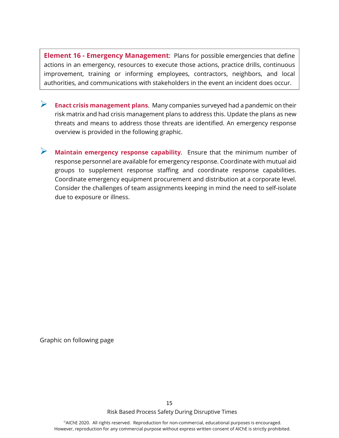**Element 16 - Emergency Management**: Plans for possible emergencies that define actions in an emergency, resources to execute those actions, practice drills, continuous improvement, training or informing employees, contractors, neighbors, and local authorities, and communications with stakeholders in the event an incident does occur.

- **Enact crisis management plans**. Many companies surveyed had a pandemic on their risk matrix and had crisis management plans to address this. Update the plans as new threats and means to address those threats are identified. An emergency response overview is provided in the following graphic.
- **Maintain emergency response capability**. Ensure that the minimum number of response personnel are available for emergency response. Coordinate with mutual aid groups to supplement response staffing and coordinate response capabilities. Coordinate emergency equipment procurement and distribution at a corporate level. Consider the challenges of team assignments keeping in mind the need to self-isolate due to exposure or illness.

Graphic on following page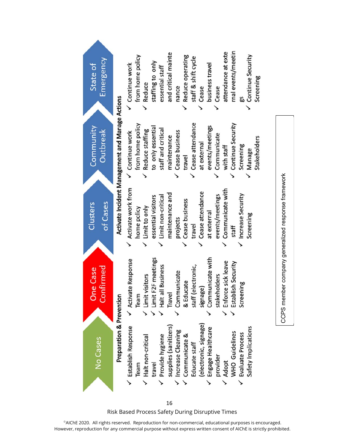

Risk Based Process Safety During Disruptive Times 16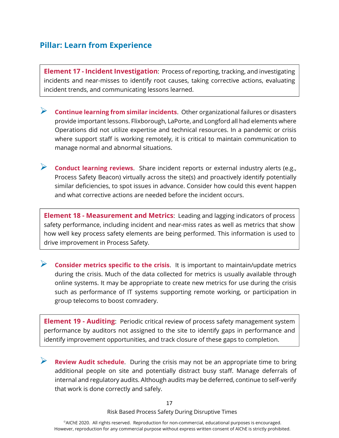#### **Pillar: Learn from Experience**

**Element 17 - Incident Investigation**: Process of reporting, tracking, and investigating incidents and near-misses to identify root causes, taking corrective actions, evaluating incident trends, and communicating lessons learned.

- **Continue learning from similar incidents**. Other organizational failures or disasters provide important lessons. Flixborough, LaPorte, and Longford all had elements where Operations did not utilize expertise and technical resources. In a pandemic or crisis where support staff is working remotely, it is critical to maintain communication to manage normal and abnormal situations.
- **Conduct learning reviews**. Share incident reports or external industry alerts (e.g., Process Safety Beacon) virtually across the site(s) and proactively identify potentially similar deficiencies, to spot issues in advance. Consider how could this event happen and what corrective actions are needed before the incident occurs.

**Element 18 - Measurement and Metrics**: Leading and lagging indicators of process safety performance, including incident and near-miss rates as well as metrics that show how well key process safety elements are being performed. This information is used to drive improvement in Process Safety.

 **Consider metrics specific to the crisis**. It is important to maintain/update metrics during the crisis. Much of the data collected for metrics is usually available through online systems. It may be appropriate to create new metrics for use during the crisis such as performance of IT systems supporting remote working, or participation in group telecoms to boost comradery.

**Element 19 - Auditing**: Periodic critical review of process safety management system performance by auditors not assigned to the site to identify gaps in performance and identify improvement opportunities, and track closure of these gaps to completion.

**Review Audit schedule.** During the crisis may not be an appropriate time to bring additional people on site and potentially distract busy staff. Manage deferrals of internal and regulatory audits. Although audits may be deferred, continue to self-verify that work is done correctly and safely.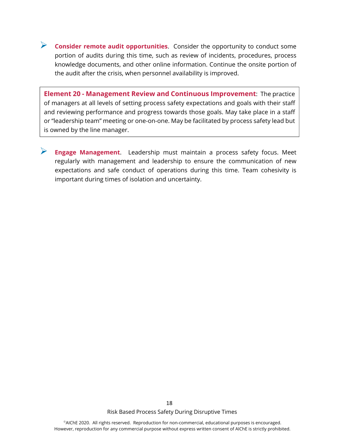**Consider remote audit opportunities**. Consider the opportunity to conduct some portion of audits during this time, such as review of incidents, procedures, process knowledge documents, and other online information. Continue the onsite portion of the audit after the crisis, when personnel availability is improved.

**Element 20 - Management Review and Continuous Improvement**: The practice of managers at all levels of setting process safety expectations and goals with their staff and reviewing performance and progress towards those goals. May take place in a staff or "leadership team" meeting or one-on-one. May be facilitated by process safety lead but is owned by the line manager.

 **Engage Management**. Leadership must maintain a process safety focus. Meet regularly with management and leadership to ensure the communication of new expectations and safe conduct of operations during this time. Team cohesivity is important during times of isolation and uncertainty.